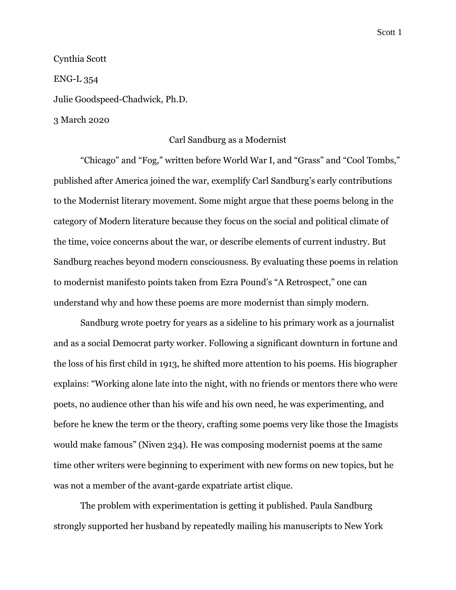Scott 1

Cynthia Scott ENG-L 354 Julie Goodspeed-Chadwick, Ph.D.

3 March 2020

## Carl Sandburg as a Modernist

"Chicago" and "Fog," written before World War I, and "Grass" and "Cool Tombs," published after America joined the war, exemplify Carl Sandburg's early contributions to the Modernist literary movement. Some might argue that these poems belong in the category of Modern literature because they focus on the social and political climate of the time, voice concerns about the war, or describe elements of current industry. But Sandburg reaches beyond modern consciousness. By evaluating these poems in relation to modernist manifesto points taken from Ezra Pound's "A Retrospect," one can understand why and how these poems are more modernist than simply modern.

Sandburg wrote poetry for years as a sideline to his primary work as a journalist and as a social Democrat party worker. Following a significant downturn in fortune and the loss of his first child in 1913, he shifted more attention to his poems. His biographer explains: "Working alone late into the night, with no friends or mentors there who were poets, no audience other than his wife and his own need, he was experimenting, and before he knew the term or the theory, crafting some poems very like those the Imagists would make famous" (Niven 234). He was composing modernist poems at the same time other writers were beginning to experiment with new forms on new topics, but he was not a member of the avant-garde expatriate artist clique.

The problem with experimentation is getting it published. Paula Sandburg strongly supported her husband by repeatedly mailing his manuscripts to New York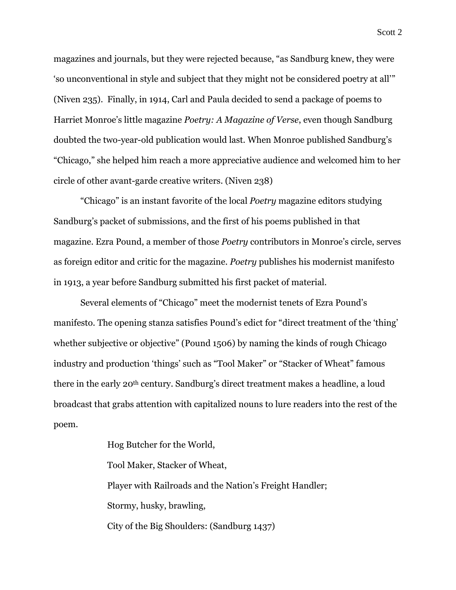magazines and journals, but they were rejected because, "as Sandburg knew, they were 'so unconventional in style and subject that they might not be considered poetry at all'" (Niven 235). Finally, in 1914, Carl and Paula decided to send a package of poems to Harriet Monroe's little magazine *Poetry: A Magazine of Verse*, even though Sandburg doubted the two-year-old publication would last. When Monroe published Sandburg's "Chicago," she helped him reach a more appreciative audience and welcomed him to her circle of other avant-garde creative writers. (Niven 238)

"Chicago" is an instant favorite of the local *Poetry* magazine editors studying Sandburg's packet of submissions, and the first of his poems published in that magazine. Ezra Pound, a member of those *Poetry* contributors in Monroe's circle, serves as foreign editor and critic for the magazine. *Poetry* publishes his modernist manifesto in 1913, a year before Sandburg submitted his first packet of material.

Several elements of "Chicago" meet the modernist tenets of Ezra Pound's manifesto. The opening stanza satisfies Pound's edict for "direct treatment of the 'thing' whether subjective or objective" (Pound 1506) by naming the kinds of rough Chicago industry and production 'things' such as "Tool Maker" or "Stacker of Wheat" famous there in the early 20th century. Sandburg's direct treatment makes a headline, a loud broadcast that grabs attention with capitalized nouns to lure readers into the rest of the poem.

> Hog Butcher for the World, Tool Maker, Stacker of Wheat, Player with Railroads and the Nation's Freight Handler; Stormy, husky, brawling, City of the Big Shoulders: (Sandburg 1437)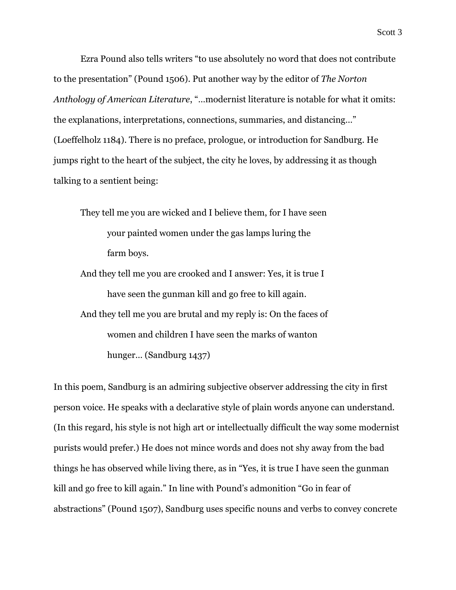Scott 3

Ezra Pound also tells writers "to use absolutely no word that does not contribute to the presentation" (Pound 1506). Put another way by the editor of *The Norton Anthology of American Literature*, "…modernist literature is notable for what it omits: the explanations, interpretations, connections, summaries, and distancing…" (Loeffelholz 1184). There is no preface, prologue, or introduction for Sandburg. He jumps right to the heart of the subject, the city he loves, by addressing it as though talking to a sentient being:

They tell me you are wicked and I believe them, for I have seen your painted women under the gas lamps luring the farm boys.

And they tell me you are crooked and I answer: Yes, it is true I have seen the gunman kill and go free to kill again. And they tell me you are brutal and my reply is: On the faces of women and children I have seen the marks of wanton hunger… (Sandburg 1437)

In this poem, Sandburg is an admiring subjective observer addressing the city in first person voice. He speaks with a declarative style of plain words anyone can understand. (In this regard, his style is not high art or intellectually difficult the way some modernist purists would prefer.) He does not mince words and does not shy away from the bad things he has observed while living there, as in "Yes, it is true I have seen the gunman kill and go free to kill again." In line with Pound's admonition "Go in fear of abstractions" (Pound 1507), Sandburg uses specific nouns and verbs to convey concrete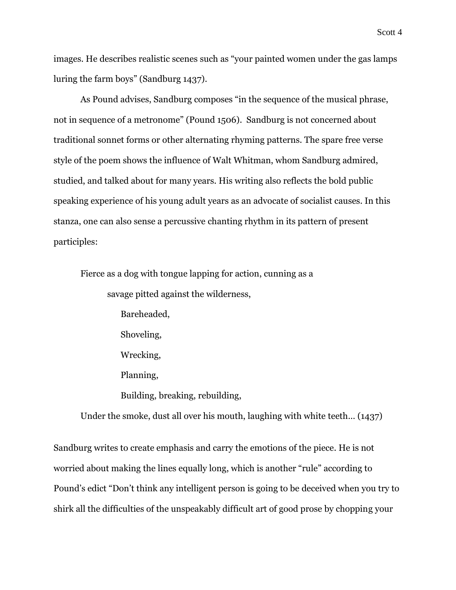images. He describes realistic scenes such as "your painted women under the gas lamps luring the farm boys" (Sandburg 1437).

As Pound advises, Sandburg composes "in the sequence of the musical phrase, not in sequence of a metronome" (Pound 1506). Sandburg is not concerned about traditional sonnet forms or other alternating rhyming patterns. The spare free verse style of the poem shows the influence of Walt Whitman, whom Sandburg admired, studied, and talked about for many years. His writing also reflects the bold public speaking experience of his young adult years as an advocate of socialist causes. In this stanza, one can also sense a percussive chanting rhythm in its pattern of present participles:

Fierce as a dog with tongue lapping for action, cunning as a savage pitted against the wilderness, Bareheaded, Shoveling, Wrecking, Planning, Building, breaking, rebuilding,

Under the smoke, dust all over his mouth, laughing with white teeth… (1437)

Sandburg writes to create emphasis and carry the emotions of the piece. He is not worried about making the lines equally long, which is another "rule" according to Pound's edict "Don't think any intelligent person is going to be deceived when you try to shirk all the difficulties of the unspeakably difficult art of good prose by chopping your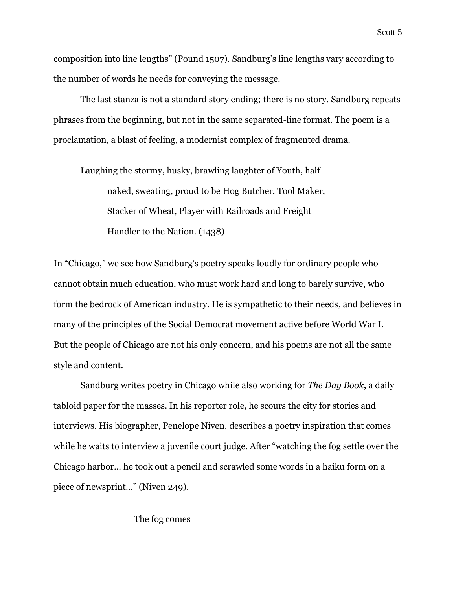composition into line lengths" (Pound 1507). Sandburg's line lengths vary according to the number of words he needs for conveying the message.

The last stanza is not a standard story ending; there is no story. Sandburg repeats phrases from the beginning, but not in the same separated-line format. The poem is a proclamation, a blast of feeling, a modernist complex of fragmented drama.

Laughing the stormy, husky, brawling laughter of Youth, halfnaked, sweating, proud to be Hog Butcher, Tool Maker, Stacker of Wheat, Player with Railroads and Freight Handler to the Nation. (1438)

In "Chicago," we see how Sandburg's poetry speaks loudly for ordinary people who cannot obtain much education, who must work hard and long to barely survive, who form the bedrock of American industry. He is sympathetic to their needs, and believes in many of the principles of the Social Democrat movement active before World War I. But the people of Chicago are not his only concern, and his poems are not all the same style and content.

Sandburg writes poetry in Chicago while also working for *The Day Book*, a daily tabloid paper for the masses. In his reporter role, he scours the city for stories and interviews. His biographer, Penelope Niven, describes a poetry inspiration that comes while he waits to interview a juvenile court judge. After "watching the fog settle over the Chicago harbor… he took out a pencil and scrawled some words in a haiku form on a piece of newsprint…" (Niven 249).

## The fog comes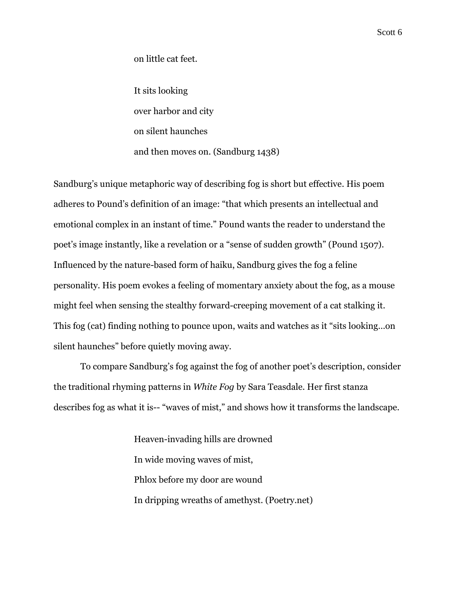on little cat feet.

It sits looking over harbor and city on silent haunches and then moves on. (Sandburg 1438)

Sandburg's unique metaphoric way of describing fog is short but effective. His poem adheres to Pound's definition of an image: "that which presents an intellectual and emotional complex in an instant of time." Pound wants the reader to understand the poet's image instantly, like a revelation or a "sense of sudden growth" (Pound 1507). Influenced by the nature-based form of haiku, Sandburg gives the fog a feline personality. His poem evokes a feeling of momentary anxiety about the fog, as a mouse might feel when sensing the stealthy forward-creeping movement of a cat stalking it. This fog (cat) finding nothing to pounce upon, waits and watches as it "sits looking…on silent haunches" before quietly moving away.

To compare Sandburg's fog against the fog of another poet's description, consider the traditional rhyming patterns in *White Fog* by Sara Teasdale. Her first stanza describes fog as what it is-- "waves of mist," and shows how it transforms the landscape.

> Heaven-invading hills are drowned In wide moving waves of mist, Phlox before my door are wound In dripping wreaths of amethyst. (Poetry.net)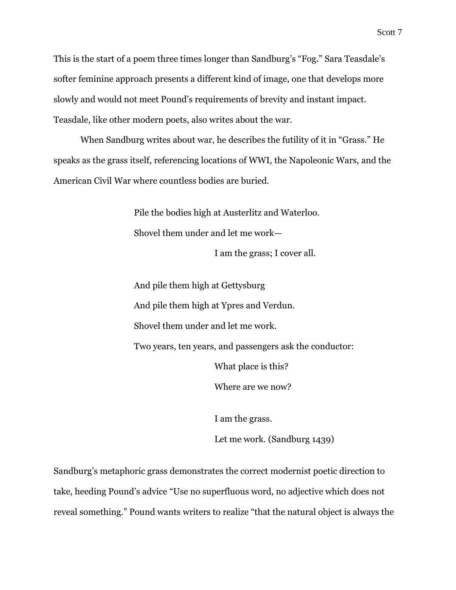This is the start of a poem three times longer than Sandburg's "Fog." Sara Teasdale's softer feminine approach presents a different kind of image, one that develops more slowly and would not meet Pound's requirements of brevity and instant impact. Teasdale, like other modern poets, also writes about the war.

When Sandburg writes about war, he describes the futility of it in "Grass." He speaks as the grass itself, referencing locations of WWI, the Napoleonic Wars, and the American Civil War where countless bodies are buried.

> Pile the bodies high at Austerlitz and Waterloo. Shovel them under and let me work—

> > I am the grass; I cover all.

And pile them high at Gettysburg And pile them high at Ypres and Verdun. Shovel them under and let me work. Two years, ten years, and passengers ask the conductor: What place is this? Where are we now?

I am the grass.

Let me work. (Sandburg 1439)

Sandburg's metaphoric grass demonstrates the correct modernist poetic direction to take, heeding Pound's advice "Use no superfluous word, no adjective which does not reveal something." Pound wants writers to realize "that the natural object is always the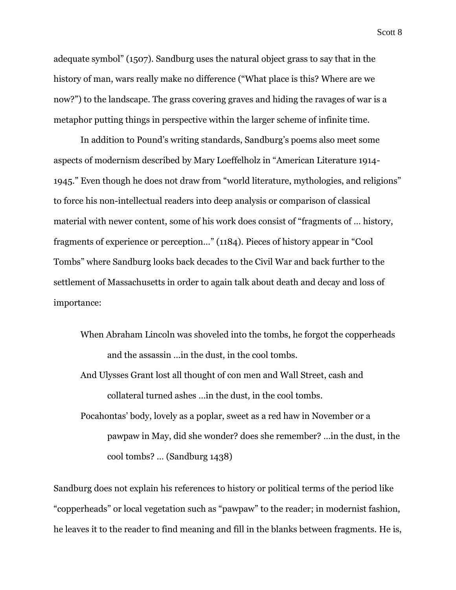Scott 8

adequate symbol" (1507). Sandburg uses the natural object grass to say that in the history of man, wars really make no difference ("What place is this? Where are we now?") to the landscape. The grass covering graves and hiding the ravages of war is a metaphor putting things in perspective within the larger scheme of infinite time.

In addition to Pound's writing standards, Sandburg's poems also meet some aspects of modernism described by Mary Loeffelholz in "American Literature 1914- 1945." Even though he does not draw from "world literature, mythologies, and religions" to force his non-intellectual readers into deep analysis or comparison of classical material with newer content, some of his work does consist of "fragments of … history, fragments of experience or perception…" (1184). Pieces of history appear in "Cool Tombs" where Sandburg looks back decades to the Civil War and back further to the settlement of Massachusetts in order to again talk about death and decay and loss of importance:

- When Abraham Lincoln was shoveled into the tombs, he forgot the copperheads and the assassin …in the dust, in the cool tombs.
- And Ulysses Grant lost all thought of con men and Wall Street, cash and collateral turned ashes …in the dust, in the cool tombs.
- Pocahontas' body, lovely as a poplar, sweet as a red haw in November or a pawpaw in May, did she wonder? does she remember? …in the dust, in the cool tombs? … (Sandburg 1438)

Sandburg does not explain his references to history or political terms of the period like "copperheads" or local vegetation such as "pawpaw" to the reader; in modernist fashion, he leaves it to the reader to find meaning and fill in the blanks between fragments. He is,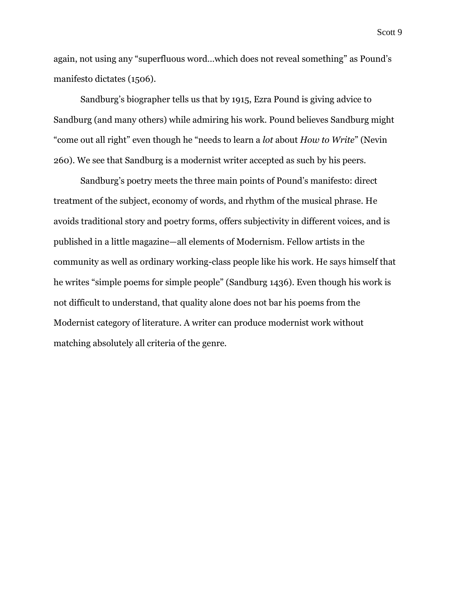again, not using any "superfluous word…which does not reveal something" as Pound's manifesto dictates (1506).

Sandburg's biographer tells us that by 1915, Ezra Pound is giving advice to Sandburg (and many others) while admiring his work. Pound believes Sandburg might "come out all right" even though he "needs to learn a *lot* about *How to Write*" (Nevin 260). We see that Sandburg is a modernist writer accepted as such by his peers.

Sandburg's poetry meets the three main points of Pound's manifesto: direct treatment of the subject, economy of words, and rhythm of the musical phrase. He avoids traditional story and poetry forms, offers subjectivity in different voices, and is published in a little magazine—all elements of Modernism. Fellow artists in the community as well as ordinary working-class people like his work. He says himself that he writes "simple poems for simple people" (Sandburg 1436). Even though his work is not difficult to understand, that quality alone does not bar his poems from the Modernist category of literature. A writer can produce modernist work without matching absolutely all criteria of the genre.